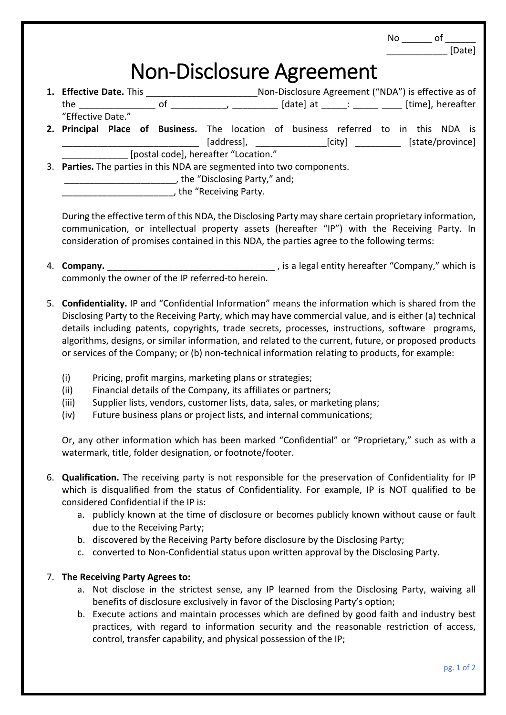| $No \underline{\hspace{1cm}} of \underline{\hspace{1cm}}$ $[Date]$                                                                                                                                                                                                                                                                                                                                                                                                                                                                                               |  |
|------------------------------------------------------------------------------------------------------------------------------------------------------------------------------------------------------------------------------------------------------------------------------------------------------------------------------------------------------------------------------------------------------------------------------------------------------------------------------------------------------------------------------------------------------------------|--|
| <b>Non-Disclosure Agreement</b>                                                                                                                                                                                                                                                                                                                                                                                                                                                                                                                                  |  |
| 1. Effective Date. This _____________________________Non-Disclosure Agreement ("NDA") is effective as of<br>"Effective Date."                                                                                                                                                                                                                                                                                                                                                                                                                                    |  |
| 2. Principal Place of Business. The location of business referred to in this NDA is<br>[address], ________________________[city] _______________ [state/province]                                                                                                                                                                                                                                                                                                                                                                                                |  |
| [postal code], hereafter "Location."<br>3. Parties. The parties in this NDA are segmented into two components.<br>the "Receiving Party.                                                                                                                                                                                                                                                                                                                                                                                                                          |  |
| During the effective term of this NDA, the Disclosing Party may share certain proprietary information,<br>communication, or intellectual property assets (hereafter "IP") with the Receiving Party. In<br>consideration of promises contained in this NDA, the parties agree to the following terms:                                                                                                                                                                                                                                                             |  |
| commonly the owner of the IP referred-to herein.                                                                                                                                                                                                                                                                                                                                                                                                                                                                                                                 |  |
| 5. Confidentiality. IP and "Confidential Information" means the information which is shared from the<br>Disclosing Party to the Receiving Party, which may have commercial value, and is either (a) technical<br>details including patents, copyrights, trade secrets, processes, instructions, software programs,<br>algorithms, designs, or similar information, and related to the current, future, or proposed products<br>or services of the Company; or (b) non-technical information relating to products, for example:                                   |  |
| (i)<br>Pricing, profit margins, marketing plans or strategies;<br>(ii)<br>Financial details of the Company, its affiliates or partners;<br>Supplier lists, vendors, customer lists, data, sales, or marketing plans;<br>(iii)<br>Future business plans or project lists, and internal communications;<br>(iv)<br>Or, any other information which has been marked "Confidential" or "Proprietary," such as with a<br>watermark, title, folder designation, or footnote/footer.                                                                                    |  |
| 6. Qualification. The receiving party is not responsible for the preservation of Confidentiality for IP<br>which is disqualified from the status of Confidentiality. For example, IP is NOT qualified to be<br>considered Confidential if the IP is:<br>a. publicly known at the time of disclosure or becomes publicly known without cause or fault<br>due to the Receiving Party;<br>b. discovered by the Receiving Party before disclosure by the Disclosing Party;<br>c. converted to Non-Confidential status upon written approval by the Disclosing Party. |  |
| 7. The Receiving Party Agrees to:<br>a. Not disclose in the strictest sense, any IP learned from the Disclosing Party, waiving all<br>benefits of disclosure exclusively in favor of the Disclosing Party's option;<br>b. Execute actions and maintain processes which are defined by good faith and industry best<br>practices, with regard to information security and the reasonable restriction of access,<br>control, transfer capability, and physical possession of the IP;                                                                               |  |